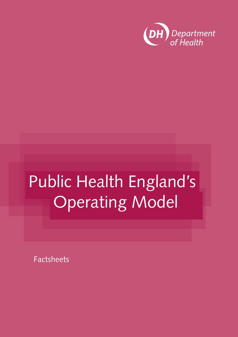

Factsheets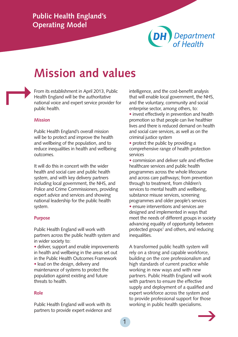

### **Mission and values**

From its establishment in April 2013, Public Health England will be the authoritative national voice and expert service provider for public health.  $\mapsto$ 

#### **Mission**

Public Health England's overall mission will be to protect and improve the health and wellbeing of the population, and to reduce inequalities in health and wellbeing outcomes.

It will do this in concert with the wider health and social care and public health system, and with key delivery partners including local government, the NHS, and Police and Crime Commissioners, providing expert advice and services and showing national leadership for the public health system.

#### **Purpose**

Public Health England will work with partners across the public health system and in wider society to:

• deliver, support and enable improvements in health and wellbeing in the areas set out in the Public Health Outcomes Framework • lead on the design, delivery and

maintenance of systems to protect the population against existing and future threats to health.

#### **Role**

Public Health England will work with its partners to provide expert evidence and intelligence, and the cost-benefit analysis that will enable local government, the NHS, and the voluntary, community and social enterprise sector, among others, to:

• invest effectively in prevention and health promotion so that people can live healthier lives and there is reduced demand on health and social care services, as well as on the criminal justice system

• protect the public by providing a comprehensive range of health protection services

• commission and deliver safe and effective healthcare services and public health programmes across the whole lifecourse and across care pathways; from prevention through to treatment, from children's services to mental health and wellbeing, substance misuse services, screening programmes and older people's services • ensure interventions and services are designed and implemented in ways that meet the needs of different groups in society advancing equality of opportunity between protected groups<sup>1</sup> and others, and reducing inequalities.

A transformed public health system will rely on a strong and capable workforce, building on the core professionalism and high standards of current practice while working in new ways and with new partners. Public Health England will work with partners to ensure the effective supply and deployment of a qualified and expert workforce across the system and to provide professional support for those working in public health specialisms.

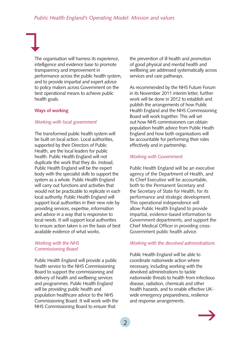The organisation will harness its experience, intelligence and evidence base to promote transparency and improvement in performance across the public health system, and to provide impartial and expert advice to policy makers across Government on the best operational means to achieve public health goals.

#### **Ways of working**

#### *Working with local government*

The transformed public health system will be built on local action. Local authorities, supported by their Directors of Public Health, are the local leaders for public health. Public Health England will not duplicate the work that they do. Instead, Public Health England will be the expert body with the specialist skills to support the system as a whole. Public Health England will carry out functions and activities that would not be practicable to replicate in each local authority. Public Health England will support local authorities in their new role by providing services, expertise, information and advice in a way that is responsive to local needs. It will support local authorities to ensure action taken is on the basis of best available evidence of what works.

#### *Working with the NHS Commissioning Board*

Public Health England will provide a public health service to the NHS Commissioning Board to support the commissioning and delivery of health and wellbeing services and programmes. Public Health England will be providing public health and population healthcare advice to the NHS Commissioning Board. It will work with the NHS Commissioning Board to ensure that

the prevention of ill health and promotion of good physical and mental health and wellbeing are addressed systematically across services and care pathways.

As recommended by the NHS Future Forum in its November 2011 interim letter, further work will be done in 2012 to establish and publish the arrangements of how Public Health England and the NHS Commissioning Board will work together. This will set out how NHS commissioners can obtain population health advice from Public Heath England and how both organisations will be accountable for performing their roles effectively and in partnership.

#### *Working with Government*

Public Health England will be an executive agency of the Department of Health, and its Chief Executive will be accountable, both to the Permanent Secretary and the Secretary of State for Health, for its performance and strategic development. This operational independence will allow Public Health England to provide impartial, evidence-based information to Government departments, and support the Chief Medical Officer in providing cross-Government public health advice.

#### *Working with the devolved administrations*

Public Health England will be able to coordinate nationwide action where necessary, including working with the devolved administrations to tackle nationwide threats to health from infectious disease, radiation, chemicals and other health hazards, and to enable effective UKwide emergency preparedness, resilience and response arrangements.

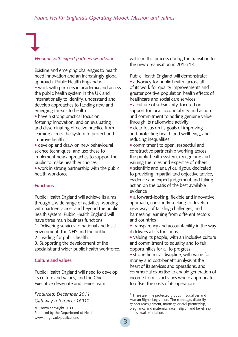#### *Working with expert partners worldwide*

Existing and emerging challenges to health need innovation and an increasingly global approach. Public Health England will:

• work with partners in academia and across the public health system in the UK and internationally to identify, understand and develop approaches to tackling new and emerging threats to health

• have a strong practical focus on fostering innovation, and on evaluating and disseminating effective practice from learning across the system to protect and improve health

• develop and draw on new behavioural science techniques, and use these to implement new approaches to support the public to make healthier choices

• work in strong partnership with the public health workforce.

#### **Functions**

Public Health England will achieve its aims through a wide range of activities, working with partners across and beyond the public health system. Public Health England will have three main business functions: 1. Delivering services to national and local government, the NHS and the public.

2. Leading for public health. 3. Supporting the development of the

specialist and wider public health workforce.

#### **Culture and values**

Public Health England will need to develop its culture and values, and the Chief Executive designate and senior team

#### *Produced: December 2011*

*Gateway reference: 16912*

© Crown copyright 2011 Produced by the Department of Health [www.dh.gov.uk/publications](http://www.dh.gov.uk/publications)

will lead this process during the transition to the new organisation in 2012/13.

Public Health England will demonstrate:

• advocacy for public health, across all of its work for quality improvements and greater positive population health effects of healthcare and social care services

• a culture of subsidiarity, focused on support for local accountability and action and commitment to adding genuine value through its nationwide activity

• clear focus on its goals of improving and protecting health and wellbeing, and reducing inequalities

• commitment to open, respectful and constructive partnership working across the public health system, recognising and valuing the roles and expertise of others

• scientific and analytical rigour, dedicated to providing impartial and objective advice, evidence and expert judgement and taking action on the basis of the best available evidence

• a forward-looking, flexible and innovative approach, constantly seeking to develop new ways of tackling challenges, and harnessing learning from different sectors and countries

• transparency and accountability in the way it delivers all its functions

• valuing its people, with an inclusive culture and commitment to equality and to fair opportunities for all to progress

• strong financial discipline, with value for money and cost-benefit analysis at the heart of its services and operations, and commercial expertise to enable generation of income from its activities where appropriate, to offset the costs of its operations.

 $1$  There are nine protected groups in Equalities and Human Rights Legislation. These are age, disability, gender reassignment, marriage or civil partnership, pregnancy and maternity, race, religion and belief, sex and sexual orientation.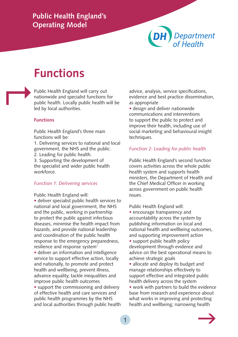## Department<br>of Health

## **Functions**

Public Health England will carry out nationwide and specialist functions for public health. Locally public health will be led by local authorities.  $\mapsto$ 

#### **Functions**

Public Health England's three main functions will be:

1. Delivering services to national and local government, the NHS and the public.

2. Leading for public health.

3. Supporting the development of the specialist and wider public health workforce.

#### *Function 1: Delivering services*

Public Health England will: • deliver specialist public health services to national and local government, the NHS and the public, working in partnership to protect the public against infectious diseases, minimise the health impact from hazards, and provide national leadership and coordination of the public health response to the emergency preparedness, resilience and response system<sup>1</sup> • deliver an information and intelligence service to support effective action, locally and nationally, to promote and protect health and wellbeing, prevent illness, advance equality, tackle inequalities and improve public health outcomes

• support the commissioning and delivery of effective health and care services and public health programmes by the NHS and local authorities through public health advice, analysis, service specifications, evidence and best practice dissemination, as appropriate

• design and deliver nationwide communications and interventions to support the public to protect and improve their health, including use of social marketing and behavioural insight techniques.

#### *Function 2: Leading for public health*

Public Health England's second function covers activities across the whole public health system and supports health ministers, the Department of Health and the Chief Medical Officer in working across government on public health issues.

Public Health England will:

• encourage transparency and accountability across the system by publishing information on local and national health and wellbeing outcomes, and supporting improvement action

• support public health policy development through evidence and advice on the best operational means to achieve strategic goals

• allocate and deploy its budget and manage relationships effectively to support effective and integrated public health delivery across the system

• work with partners to build the evidence base from research and experience about what works in improving and protecting health and wellbeing; narrowing health

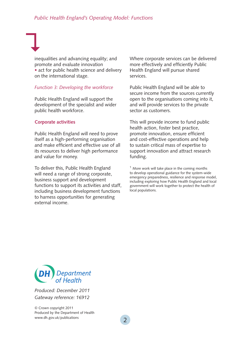inequalities and advancing equality; and promote and evaluate innovation • act for public health science and delivery on the international stage.

#### *Function 3: Developing the workforce*

Public Health England will support the development of the specialist and wider public health workforce.

#### **Corporate activities**

 $\bigcup$ 

Public Health England will need to prove itself as a high-performing organisation and make efficient and effective use of all its resources to deliver high performance and value for money.

To deliver this, Public Health England will need a range of strong corporate, business support and development functions to support its activities and staff, including business development functions to harness opportunities for generating external income.

Where corporate services can be delivered more effectively and efficiently Public Health England will pursue shared services.

Public Health England will be able to secure income from the sources currently open to the organisations coming into it, and will provide services to the private sector as customers.

This will provide income to fund public health action, foster best practice, promote innovation, ensure efficient and cost-effective operations and help to sustain critical mass of expertise to support innovation and attract research funding.

 $1$  More work will take place in the coming months to develop operational guidance for the system-wide emergency preparedness, resilience and response model, including exploring how Public Health England and local government will work together to protect the health of local populations.



*Produced: December 2011 Gateway reference: 16912*

© Crown copyright 2011 Produced by the Department of Health [www.dh.gov.uk/publications](http://www.dh.gov.uk/publications)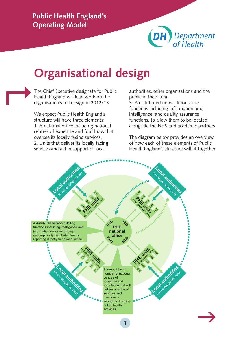

## **Organisational design**

The Chief Executive designate for Public Health England will lead work on the organisation's full design in 2012/13.  $\mapsto$ 

> We expect Public Health England's structure will have three elements: 1. A national office including national centres of expertise and four hubs that oversee its locally facing services. 2. Units that deliver its locally facing services and act in support of local

authorities, other organisations and the public in their area.

3. A distributed network for some functions including information and intelligence, and quality assurance functions, to allow them to be located alongside the NHS and academic partners.

The diagram below provides an overview of how each of these elements of Public Health England's structure will fit together.

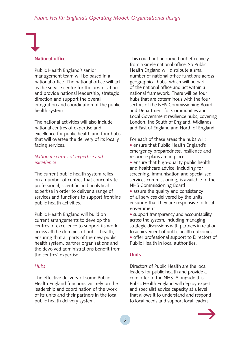#### **National office**

Public Health England's senior management team will be based in a national office. The national office will act as the service centre for the organisation and provide national leadership, strategic direction and support the overall integration and coordination of the public health system.

The national activities will also include national centres of expertise and excellence for public health and four hubs that will oversee the delivery of its locally facing services.

#### *National centres of expertise and excellence*

The current public health system relies on a number of centres that concentrate professional, scientific and analytical expertise in order to deliver a range of services and functions to support frontline public health activities.

Public Health England will build on current arrangements to develop the centres of excellence to support its work across all the domains of public health, ensuring that all parts of the new public health system, partner organisations and the devolved administrations benefit from the centres' expertise.

#### *Hubs*

The effective delivery of some Public Health England functions will rely on the leadership and coordination of the work of its units and their partners in the local public health delivery system.

This could not be carried out effectively from a single national office. So Public Health England will distribute a small number of national office functions across geographical hubs, which will be part of the national office and act within a national framework. There will be four hubs that are coterminous with the four sectors of the NHS Commissioning Board and Department for Communities and Local Government resilience hubs, covering London, the South of England, Midlands and East of England and North of England.

For each of these areas the hubs will: • ensure that Public Health England's emergency preparedness, resilience and response plans are in place

• ensure that high-quality public health and healthcare advice, including for screening, immunisation and specialised services commissioning, is available to the NHS Commissioning Board

• assure the quality and consistency of all services delivered by the units, ensuring that they are responsive to local government

• support transparency and accountability across the system, including managing strategic discussions with partners in relation to achievement of public health outcomes

• offer professional support to Directors of Public Health in local authorities.

#### **Units**

Directors of Public Health are the local leaders for public health and provide a core offer to the NHS. Alongside this, Public Health England will deploy expert and specialist advice capacity at a level that allows it to understand and respond to local needs and support local leaders

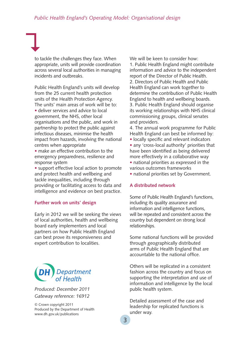to tackle the challenges they face. When appropriate, units will provide coordination across several local authorities in managing incidents and outbreaks.

 $\bigcup$ 

Public Health England's units will develop from the 25 current health protection units of the Health Protection Agency. The units' main areas of work will be to: • deliver services and advice to local government, the NHS, other local organisations and the public, and work in partnership to protect the public against infectious diseases, minimise the health impact from hazards, involving the national centres when appropriate

• make an effective contribution to the emergency preparedness, resilience and response system

• support effective local action to promote and protect health and wellbeing and tackle inequalities, including through providing or facilitating access to data and intelligence and evidence on best practice.

#### **Further work on units' design**

Early in 2012 we will be seeking the views of local authorities, health and wellbeing board early implementers and local partners on how Public Health England can best prove its responsiveness and expert contribution to localities.



*Produced: December 2011 Gateway reference: 16912*

© Crown copyright 2011 Produced by the Department of Health [www.dh.gov.uk/publications](http://www.dh.gov.uk/publications)

We will be keen to consider how: 1. Public Health England might contribute information and advice to the independent report of the Director of Public Health. 2. Directors of Public Health and Public Health England can work together to determine the contribution of Public Health England to health and wellbeing boards. 3. Public Health England should organise its working relationships with NHS clinical commissioning groups, clinical senates and providers.

4. The annual work programme for Public Health England can best be informed by:

- locally specific and relevant indicators
- any 'cross-local authority' priorities that have been identified as being delivered more effectively in a collaborative way
- national priorities as expressed in the various outcomes frameworks
- national priorities set by Government.

#### **A distributed network**

Some of Public Health England's functions, including its quality assurance and information and intelligence functions, will be repeated and consistent across the country but dependent on strong local relationships.

Some national functions will be provided through geographically distributed arms of Public Health England that are accountable to the national office.

Others will be replicated in a consistent fashion across the country and focus on supporting the interpretation and use of information and intelligence by the local public health system.

Detailed assessment of the case and leadership for replicated functions is under way.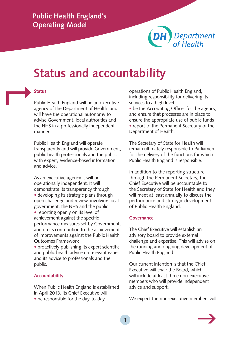

## **Status and accountability**

## **Status**  $\mapsto$

Public Health England will be an executive agency of the Department of Health, and will have the operational autonomy to advise Government, local authorities and the NHS in a professionally independent manner.

Public Health England will operate transparently and will provide Government, public health professionals and the public with expert, evidence-based information and advice.

As an executive agency it will be operationally independent. It will demonstrate its transparency through: • developing its strategic plans through open challenge and review, involving local government, the NHS and the public • reporting openly on its level of achievement against the specific performance measures set by Government, and on its contribution to the achievement of improvements against the Public Health Outcomes Framework

• proactively publishing its expert scientific and public health advice on relevant issues and its advice to professionals and the public.

#### **Accountability**

When Public Health England is established in April 2013, its Chief Executive will:

• be responsible for the day-to-day

operations of Public Health England, including responsibility for delivering its services to a high level

• be the Accounting Officer for the agency, and ensure that processes are in place to ensure the appropriate use of public funds • report to the Permanent Secretary of the Department of Health.

The Secretary of State for Health will remain ultimately responsible to Parliament for the delivery of the functions for which Public Health England is responsible.

In addition to the reporting structure through the Permanent Secretary, the Chief Executive will be accountable to the Secretary of State for Health and they will meet at least annually to discuss the performance and strategic development of Public Health England.

#### **Governance**

The Chief Executive will establish an advisory board to provide external challenge and expertise. This will advise on the running and ongoing development of Public Health England.

Our current intention is that the Chief Executive will chair the Board, which will include at least three non-executive members who will provide independent advice and support.

We expect the non-executive members will

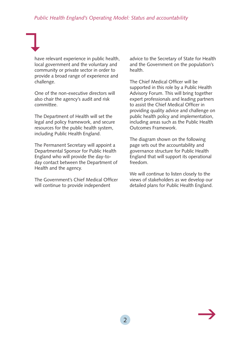#### *Public Health England's Operating Model: Status and accountability*

have relevant experience in public health, local government and the voluntary and community or private sector in order to provide a broad range of experience and challenge.

 $\bigcup$ 

One of the non-executive directors will also chair the agency's audit and risk committee.

The Department of Health will set the legal and policy framework, and secure resources for the public health system, including Public Health England.

The Permanent Secretary will appoint a Departmental Sponsor for Public Health England who will provide the day-today contact between the Department of Health and the agency.

The Government's Chief Medical Officer will continue to provide independent

advice to the Secretary of State for Health and the Government on the population's health.

The Chief Medical Officer will be supported in this role by a Public Health Advisory Forum. This will bring together expert professionals and leading partners to assist the Chief Medical Officer in providing quality advice and challenge on public health policy and implementation, including areas such as the Public Health Outcomes Framework.

The diagram shown on the following page sets out the accountability and governance structure for Public Health England that will support its operational freedom.

We will continue to listen closely to the views of stakeholders as we develop our detailed plans for Public Health England.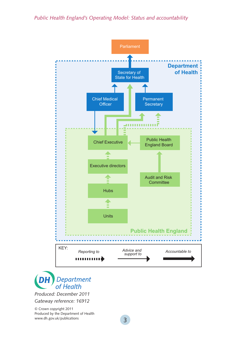*Public Health England's Operating Model: Status and accountability*





*Produced: December 2011 Gateway reference: 16912*

© Crown copyright 2011 Produced by the Department of Health [www.dh.gov.uk/publications](http://www.dh.gov.uk/publications)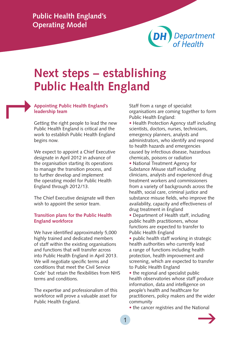

## **Next steps – establishing Public Health England**

### **Appointing Public Health England's leadership team**   $\mapsto$

Getting the right people to lead the new Public Health England is critical and the work to establish Public Health England begins now.

We expect to appoint a Chief Executive designate in April 2012 in advance of the organisation starting its operations to manage the transition process, and to further develop and implement the operating model for Public Health England through 2012/13.

The Chief Executive designate will then wish to appoint the senior team.

#### **Transition plans for the Public Health England workforce**

We have identified approximately 5,000 highly trained and dedicated members of staff within the existing organisations and functions that will transfer across into Public Health England in April 2013. We will negotiate specific terms and conditions that meet the Civil Service Code<sup>1</sup> but retain the flexibilities from NHS terms and conditions.

The expertise and professionalism of this workforce will prove a valuable asset for Public Health England.

Staff from a range of specialist organisations are coming together to form Public Health England:

• Health Protection Agency staff including scientists, doctors, nurses, technicians, emergency planners, analysts and administrators, who identify and respond to health hazards and emergencies caused by infectious disease, hazardous chemicals, poisons or radiation

• National Treatment Agency for Substance Misuse staff including clinicians, analysts and experienced drug treatment workers and commissioners from a variety of backgrounds across the health, social care, criminal justice and substance misuse fields, who improve the availability, capacity and effectiveness of drug treatment in England

• Department of Health staff, including public health practitioners, whose functions are expected to transfer to Public Health England

• public health staff working in strategic health authorities who currently lead a range of functions including health protection, health improvement and screening, which are expected to transfer to Public Health England

• the regional and specialist public health observatories whose staff produce information, data and intelligence on people's health and healthcare for practitioners, policy makers and the wider community

• the cancer registries and the National

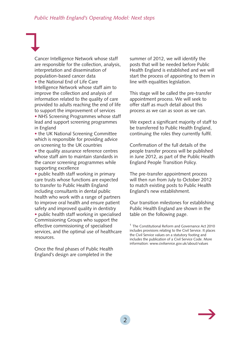Cancer Intelligence Network whose staff are responsible for the collection, analysis, interpretation and dissemination of population-based cancer data • the National End of Life Care Intelligence Network whose staff aim to improve the collection and analysis of information related to the quality of care provided to adults reaching the end of life to support the improvement of services • NHS Screening Programmes whose staff lead and support screening programmes in England

• the UK National Screening Committee which is responsible for providing advice on screening to the UK countries

• the quality assurance reference centres whose staff aim to maintain standards in the cancer screening programmes while supporting excellence

• public health staff working in primary care trusts whose functions are expected to transfer to Public Health England including consultants in dental public health who work with a range of partners to improve oral health and ensure patient safety and improved quality in dentistry • public health staff working in specialised Commissioning Groups who support the effective commissioning of specialised services, and the optimal use of healthcare resources.

Once the final phases of Public Health England's design are completed in the

summer of 2012, we will identify the posts that will be needed before Public Health England is established and we will start the process of appointing to them in line with equalities legislation.

This stage will be called the pre-transfer appointment process. We will seek to offer staff as much detail about this process as we can as soon as we can.

We expect a significant majority of staff to be transferred to Public Health England, continuing the roles they currently fulfil.

Confirmation of the full details of the people transfer process will be published in June 2012, as part of the Public Health England People Transition Policy.

The pre-transfer appointment process will then run from July to October 2012 to match existing posts to Public Health England's new establishment.

Our transition milestones for establishing Public Health England are shown in the table on the following page.



<sup>&</sup>lt;sup>1</sup> The Constitutional Reform and Governance Act 2010 includes provisions relating to the Civil Service. It places the Civil Service values on a statutory footing and includes the publication of a Civil Service Code. More information: [www.civilservice.gov.uk/about/values](http://www.civilservice.gov.uk/about/values)